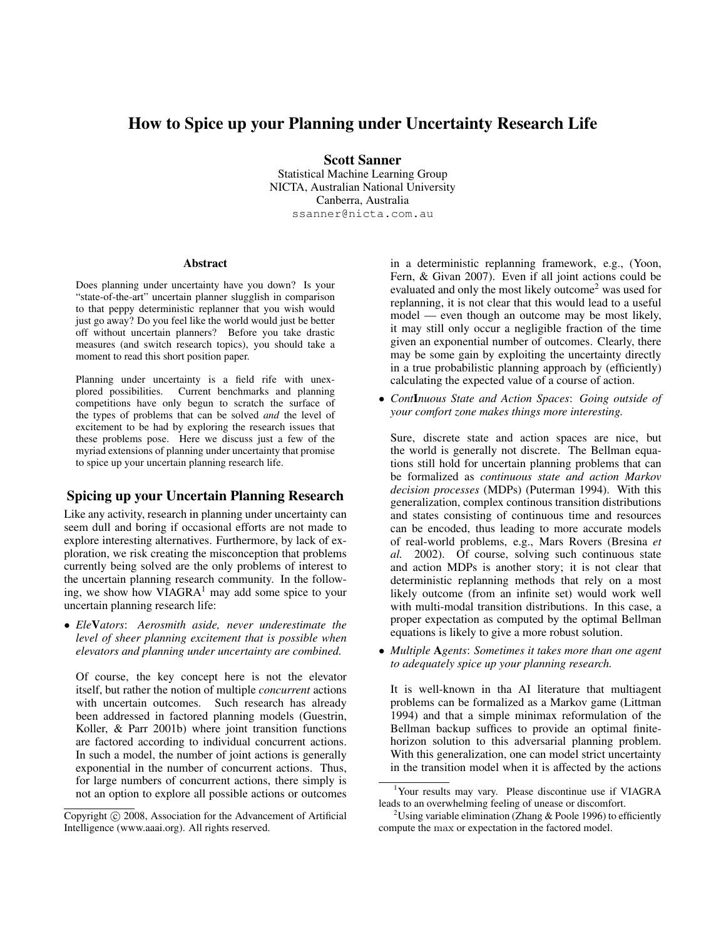# How to Spice up your Planning under Uncertainty Research Life

Scott Sanner Statistical Machine Learning Group NICTA, Australian National University Canberra, Australia ssanner@nicta.com.au

#### Abstract

Does planning under uncertainty have you down? Is your "state-of-the-art" uncertain planner slugglish in comparison to that peppy deterministic replanner that you wish would just go away? Do you feel like the world would just be better off without uncertain planners? Before you take drastic measures (and switch research topics), you should take a moment to read this short position paper.

Planning under uncertainty is a field rife with unexplored possibilities. Current benchmarks and planning competitions have only begun to scratch the surface of the types of problems that can be solved *and* the level of excitement to be had by exploring the research issues that these problems pose. Here we discuss just a few of the myriad extensions of planning under uncertainty that promise to spice up your uncertain planning research life.

# Spicing up your Uncertain Planning Research

Like any activity, research in planning under uncertainty can seem dull and boring if occasional efforts are not made to explore interesting alternatives. Furthermore, by lack of exploration, we risk creating the misconception that problems currently being solved are the only problems of interest to the uncertain planning research community. In the following, we show how VIAGRA<sup>1</sup> may add some spice to your uncertain planning research life:

• *Ele*V*ators*: *Aerosmith aside, never underestimate the level of sheer planning excitement that is possible when elevators and planning under uncertainty are combined.*

Of course, the key concept here is not the elevator itself, but rather the notion of multiple *concurrent* actions with uncertain outcomes. Such research has already been addressed in factored planning models (Guestrin, Koller, & Parr 2001b) where joint transition functions are factored according to individual concurrent actions. In such a model, the number of joint actions is generally exponential in the number of concurrent actions. Thus, for large numbers of concurrent actions, there simply is not an option to explore all possible actions or outcomes in a deterministic replanning framework, e.g., (Yoon, Fern, & Givan 2007). Even if all joint actions could be evaluated and only the most likely outcome<sup>2</sup> was used for replanning, it is not clear that this would lead to a useful model — even though an outcome may be most likely, it may still only occur a negligible fraction of the time given an exponential number of outcomes. Clearly, there may be some gain by exploiting the uncertainty directly in a true probabilistic planning approach by (efficiently) calculating the expected value of a course of action.

• *Cont*I*nuous State and Action Spaces*: *Going outside of your comfort zone makes things more interesting.*

Sure, discrete state and action spaces are nice, but the world is generally not discrete. The Bellman equations still hold for uncertain planning problems that can be formalized as *continuous state and action Markov decision processes* (MDPs) (Puterman 1994). With this generalization, complex continous transition distributions and states consisting of continuous time and resources can be encoded, thus leading to more accurate models of real-world problems, e.g., Mars Rovers (Bresina *et al.* 2002). Of course, solving such continuous state and action MDPs is another story; it is not clear that deterministic replanning methods that rely on a most likely outcome (from an infinite set) would work well with multi-modal transition distributions. In this case, a proper expectation as computed by the optimal Bellman equations is likely to give a more robust solution.

• *Multiple* A*gents*: *Sometimes it takes more than one agent to adequately spice up your planning research.*

It is well-known in tha AI literature that multiagent problems can be formalized as a Markov game (Littman 1994) and that a simple minimax reformulation of the Bellman backup suffices to provide an optimal finitehorizon solution to this adversarial planning problem. With this generalization, one can model strict uncertainty in the transition model when it is affected by the actions

Copyright (c) 2008, Association for the Advancement of Artificial Intelligence (www.aaai.org). All rights reserved.

<sup>&</sup>lt;sup>1</sup>Your results may vary. Please discontinue use if VIAGRA leads to an overwhelming feeling of unease or discomfort.

<sup>&</sup>lt;sup>2</sup>Using variable elimination (Zhang & Poole 1996) to efficiently compute the max or expectation in the factored model.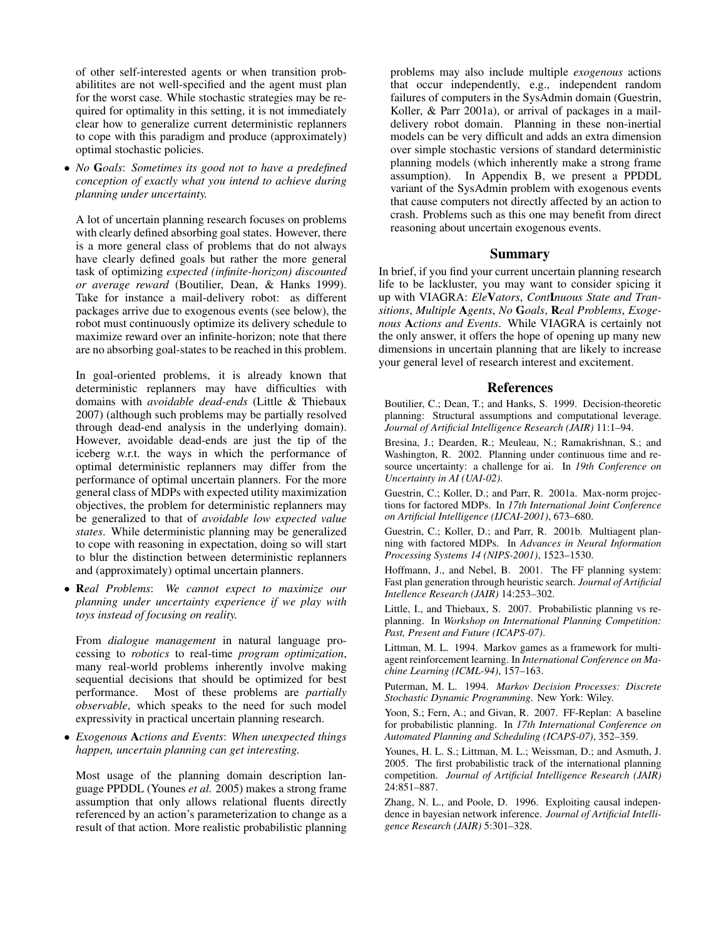of other self-interested agents or when transition probabilitites are not well-specified and the agent must plan for the worst case. While stochastic strategies may be required for optimality in this setting, it is not immediately clear how to generalize current deterministic replanners to cope with this paradigm and produce (approximately) optimal stochastic policies.

• *No* G*oals*: *Sometimes its good not to have a predefined conception of exactly what you intend to achieve during planning under uncertainty.*

A lot of uncertain planning research focuses on problems with clearly defined absorbing goal states. However, there is a more general class of problems that do not always have clearly defined goals but rather the more general task of optimizing *expected (infinite-horizon) discounted or average reward* (Boutilier, Dean, & Hanks 1999). Take for instance a mail-delivery robot: as different packages arrive due to exogenous events (see below), the robot must continuously optimize its delivery schedule to maximize reward over an infinite-horizon; note that there are no absorbing goal-states to be reached in this problem.

In goal-oriented problems, it is already known that deterministic replanners may have difficulties with domains with *avoidable dead-ends* (Little & Thiebaux 2007) (although such problems may be partially resolved through dead-end analysis in the underlying domain). However, avoidable dead-ends are just the tip of the iceberg w.r.t. the ways in which the performance of optimal deterministic replanners may differ from the performance of optimal uncertain planners. For the more general class of MDPs with expected utility maximization objectives, the problem for deterministic replanners may be generalized to that of *avoidable low expected value states*. While deterministic planning may be generalized to cope with reasoning in expectation, doing so will start to blur the distinction between deterministic replanners and (approximately) optimal uncertain planners.

• R*eal Problems*: *We cannot expect to maximize our planning under uncertainty experience if we play with toys instead of focusing on reality.*

From *dialogue management* in natural language processing to *robotics* to real-time *program optimization*, many real-world problems inherently involve making sequential decisions that should be optimized for best performance. Most of these problems are *partially observable*, which speaks to the need for such model expressivity in practical uncertain planning research.

• *Exogenous* A*ctions and Events*: *When unexpected things happen, uncertain planning can get interesting.*

Most usage of the planning domain description language PPDDL (Younes *et al.* 2005) makes a strong frame assumption that only allows relational fluents directly referenced by an action's parameterization to change as a result of that action. More realistic probabilistic planning problems may also include multiple *exogenous* actions that occur independently, e.g., independent random failures of computers in the SysAdmin domain (Guestrin, Koller, & Parr 2001a), or arrival of packages in a maildelivery robot domain. Planning in these non-inertial models can be very difficult and adds an extra dimension over simple stochastic versions of standard deterministic planning models (which inherently make a strong frame assumption). In Appendix B, we present a PPDDL variant of the SysAdmin problem with exogenous events that cause computers not directly affected by an action to crash. Problems such as this one may benefit from direct reasoning about uncertain exogenous events.

### Summary

In brief, if you find your current uncertain planning research life to be lackluster, you may want to consider spicing it up with VIAGRA: *Ele*V*ators*, *Cont*I*nuous State and Transitions*, *Multiple* A*gents*, *No* G*oals*, R*eal Problems*, *Exogenous* A*ctions and Events*. While VIAGRA is certainly not the only answer, it offers the hope of opening up many new dimensions in uncertain planning that are likely to increase your general level of research interest and excitement.

#### References

Boutilier, C.; Dean, T.; and Hanks, S. 1999. Decision-theoretic planning: Structural assumptions and computational leverage. *Journal of Artificial Intelligence Research (JAIR)* 11:1–94.

Bresina, J.; Dearden, R.; Meuleau, N.; Ramakrishnan, S.; and Washington, R. 2002. Planning under continuous time and resource uncertainty: a challenge for ai. In *19th Conference on Uncertainty in AI (UAI-02)*.

Guestrin, C.; Koller, D.; and Parr, R. 2001a. Max-norm projections for factored MDPs. In *17th International Joint Conference on Artificial Intelligence (IJCAI-2001)*, 673–680.

Guestrin, C.; Koller, D.; and Parr, R. 2001b. Multiagent planning with factored MDPs. In *Advances in Neural Information Processing Systems 14 (NIPS-2001)*, 1523–1530.

Hoffmann, J., and Nebel, B. 2001. The FF planning system: Fast plan generation through heuristic search. *Journal of Artificial Intellence Research (JAIR)* 14:253–302.

Little, I., and Thiebaux, S. 2007. Probabilistic planning vs replanning. In *Workshop on International Planning Competition: Past, Present and Future (ICAPS-07)*.

Littman, M. L. 1994. Markov games as a framework for multiagent reinforcement learning. In *International Conference on Machine Learning (ICML-94)*, 157–163.

Puterman, M. L. 1994. *Markov Decision Processes: Discrete Stochastic Dynamic Programming*. New York: Wiley.

Yoon, S.; Fern, A.; and Givan, R. 2007. FF-Replan: A baseline for probabilistic planning. In *17th International Conference on Automated Planning and Scheduling (ICAPS-07)*, 352–359.

Younes, H. L. S.; Littman, M. L.; Weissman, D.; and Asmuth, J. 2005. The first probabilistic track of the international planning competition. *Journal of Artificial Intelligence Research (JAIR)* 24:851–887.

Zhang, N. L., and Poole, D. 1996. Exploiting causal independence in bayesian network inference. *Journal of Artificial Intelligence Research (JAIR)* 5:301–328.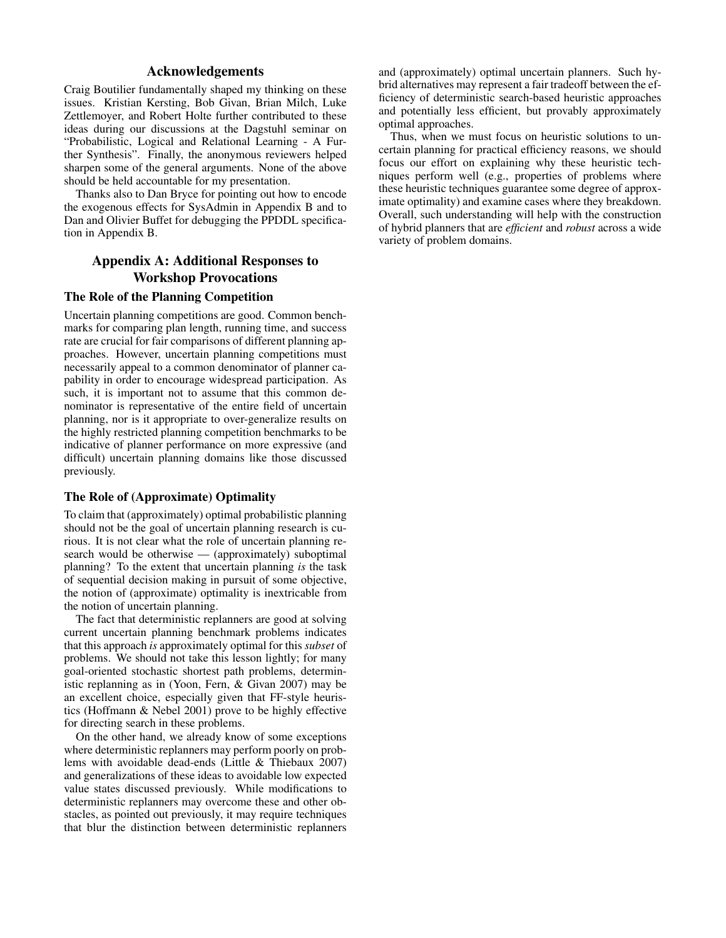# Acknowledgements

Craig Boutilier fundamentally shaped my thinking on these issues. Kristian Kersting, Bob Givan, Brian Milch, Luke Zettlemoyer, and Robert Holte further contributed to these ideas during our discussions at the Dagstuhl seminar on "Probabilistic, Logical and Relational Learning - A Further Synthesis". Finally, the anonymous reviewers helped sharpen some of the general arguments. None of the above should be held accountable for my presentation.

Thanks also to Dan Bryce for pointing out how to encode the exogenous effects for SysAdmin in Appendix B and to Dan and Olivier Buffet for debugging the PPDDL specification in Appendix B.

# Appendix A: Additional Responses to Workshop Provocations

## The Role of the Planning Competition

Uncertain planning competitions are good. Common benchmarks for comparing plan length, running time, and success rate are crucial for fair comparisons of different planning approaches. However, uncertain planning competitions must necessarily appeal to a common denominator of planner capability in order to encourage widespread participation. As such, it is important not to assume that this common denominator is representative of the entire field of uncertain planning, nor is it appropriate to over-generalize results on the highly restricted planning competition benchmarks to be indicative of planner performance on more expressive (and difficult) uncertain planning domains like those discussed previously.

### The Role of (Approximate) Optimality

To claim that (approximately) optimal probabilistic planning should not be the goal of uncertain planning research is curious. It is not clear what the role of uncertain planning research would be otherwise — (approximately) suboptimal planning? To the extent that uncertain planning *is* the task of sequential decision making in pursuit of some objective, the notion of (approximate) optimality is inextricable from the notion of uncertain planning.

The fact that deterministic replanners are good at solving current uncertain planning benchmark problems indicates that this approach *is* approximately optimal for this *subset* of problems. We should not take this lesson lightly; for many goal-oriented stochastic shortest path problems, deterministic replanning as in (Yoon, Fern, & Givan 2007) may be an excellent choice, especially given that FF-style heuristics (Hoffmann & Nebel 2001) prove to be highly effective for directing search in these problems.

On the other hand, we already know of some exceptions where deterministic replanners may perform poorly on problems with avoidable dead-ends (Little & Thiebaux 2007) and generalizations of these ideas to avoidable low expected value states discussed previously. While modifications to deterministic replanners may overcome these and other obstacles, as pointed out previously, it may require techniques that blur the distinction between deterministic replanners

and (approximately) optimal uncertain planners. Such hybrid alternatives may represent a fair tradeoff between the efficiency of deterministic search-based heuristic approaches and potentially less efficient, but provably approximately optimal approaches.

Thus, when we must focus on heuristic solutions to uncertain planning for practical efficiency reasons, we should focus our effort on explaining why these heuristic techniques perform well (e.g., properties of problems where these heuristic techniques guarantee some degree of approximate optimality) and examine cases where they breakdown. Overall, such understanding will help with the construction of hybrid planners that are *efficient* and *robust* across a wide variety of problem domains.